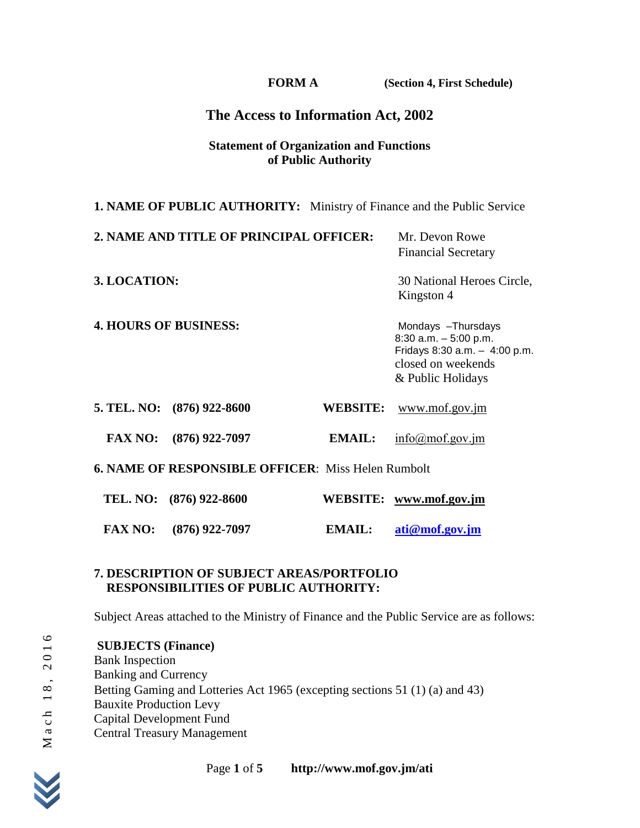**FORM A (Section 4, First Schedule)**

## **The Access to Information Act, 2002**

#### **Statement of Organization and Functions of Public Authority**

| <b>1. NAME OF PUBLIC AUTHORITY:</b> Ministry of Finance and the Public Service |                 |                                                                                                                            |  |  |
|--------------------------------------------------------------------------------|-----------------|----------------------------------------------------------------------------------------------------------------------------|--|--|
| 2. NAME AND TITLE OF PRINCIPAL OFFICER:                                        |                 | Mr. Devon Rowe<br><b>Financial Secretary</b>                                                                               |  |  |
| 3. LOCATION:                                                                   |                 | 30 National Heroes Circle,<br>Kingston 4                                                                                   |  |  |
| <b>4. HOURS OF BUSINESS:</b>                                                   |                 | Mondays -Thursdays<br>$8:30$ a.m. $-5:00$ p.m.<br>Fridays 8:30 a.m. - 4:00 p.m.<br>closed on weekends<br>& Public Holidays |  |  |
| 5. TEL. NO: (876) 922-8600                                                     | <b>WEBSITE:</b> | www.mof.gov.jm                                                                                                             |  |  |
| <b>FAX NO:</b><br>$(876)$ 922-7097                                             | <b>EMAIL:</b>   | $info(\hat{\alpha})$ mof.gov.jm                                                                                            |  |  |
| <b>6. NAME OF RESPONSIBLE OFFICER: Miss Helen Rumbolt</b>                      |                 |                                                                                                                            |  |  |
| TEL. NO: (876) 922-8600                                                        |                 | WEBSITE: www.mof.gov.jm                                                                                                    |  |  |
| <b>FAX NO:</b><br>$(876)$ 922-7097                                             | EMAIL:          | ati@mof.gov.jm                                                                                                             |  |  |

#### **7. DESCRIPTION OF SUBJECT AREAS/PORTFOLIO RESPONSIBILITIES OF PUBLIC AUTHORITY:**

Subject Areas attached to the Ministry of Finance and the Public Service are as follows:

7. **DESCRIPTION OF SUBJECT AREAS/PORTFOLIO**<br> **RESPONSIBILITIES OF PUBLIC AUTHORITY:**<br>
Subject Areas attached to the Ministry of Finance and the Public Service<br>
SUBJECTS (Finance)<br>
Bank Inspection<br>
Banking and Currency<br>
Be **SUBJECTS (Finance)** Bank Inspection Banking and Currency Betting Gaming and Lotteries Act 1965 (excepting sections 51 (1) (a) and 43) Bauxite Production Levy Capital Development Fund Central Treasury Management

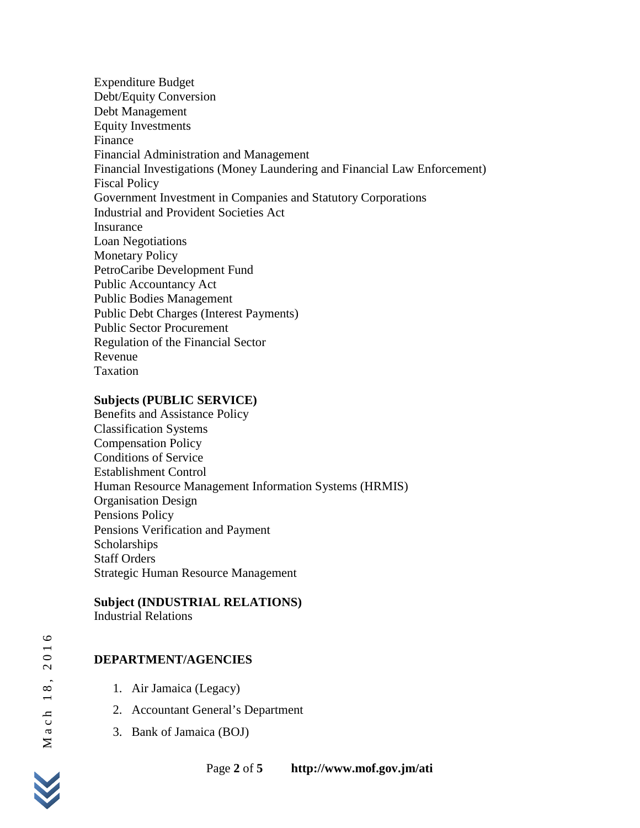Expenditure Budget Debt/Equity Conversion Debt Management Equity Investments Finance Financial Administration and Management Financial Investigations (Money Laundering and Financial Law Enforcement) Fiscal Policy Government Investment in Companies and Statutory Corporations Industrial and Provident Societies Act Insurance Loan Negotiations Monetary Policy PetroCaribe Development Fund Public Accountancy Act Public Bodies Management Public Debt Charges (Interest Payments) Public Sector Procurement Regulation of the Financial Sector Revenue Taxation

### **Subjects (PUBLIC SERVICE)**

Benefits and Assistance Policy Classification Systems Compensation Policy Conditions of Service Establishment Control Human Resource Management Information Systems (HRMIS) Organisation Design Pensions Policy Pensions Verification and Payment **Scholarships** Staff Orders Strategic Human Resource Management

## **Subject (INDUSTRIAL RELATIONS)**

Industrial Relations

# **DEPARTMENT/AGENCIES**

- 1. Air Jamaica (Legacy)
- 2. Accountant General's Department
- 3. Bank of Jamaica (BOJ)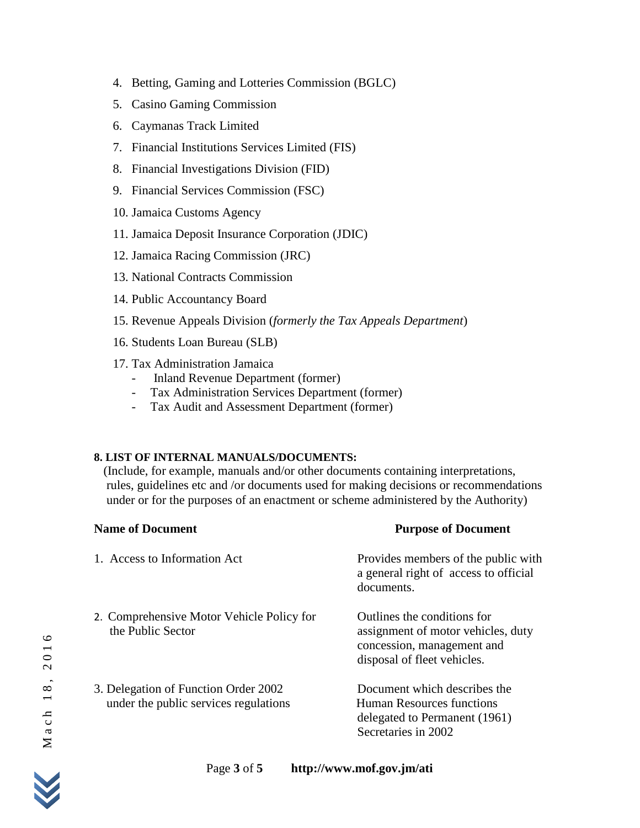- 4. Betting, Gaming and Lotteries Commission (BGLC)
- 5. Casino Gaming Commission
- 6. Caymanas Track Limited
- 7. Financial Institutions Services Limited (FIS)
- 8. Financial Investigations Division (FID)
- 9. Financial Services Commission (FSC)
- 10. Jamaica Customs Agency
- 11. Jamaica Deposit Insurance Corporation (JDIC)
- 12. Jamaica Racing Commission (JRC)
- 13. National Contracts Commission
- 14. Public Accountancy Board
- 15. Revenue Appeals Division (*formerly the Tax Appeals Department*)
- 16. Students Loan Bureau (SLB)
- 17. Tax Administration Jamaica
	- Inland Revenue Department (former)<br>- Tax Administration Services Department
	- Tax Administration Services Department (former)
	- Tax Audit and Assessment Department (former)

## **8. LIST OF INTERNAL MANUALS/DOCUMENTS:**

(Include, for example, manuals and/or other documents containing interpretations, rules, guidelines etc and /or documents used for making decisions or recommendations under or for the purposes of an enactment or scheme administered by the Authority)

| <b>Name of Document</b>                                                       | <b>Purpose of Document</b>                                                                                                     |
|-------------------------------------------------------------------------------|--------------------------------------------------------------------------------------------------------------------------------|
| 1. Access to Information Act                                                  | Provides members of the public with<br>a general right of access to official<br>documents.                                     |
| 2. Comprehensive Motor Vehicle Policy for<br>the Public Sector                | Outlines the conditions for<br>assignment of motor vehicles, duty<br>concession, management and<br>disposal of fleet vehicles. |
| 3. Delegation of Function Order 2002<br>under the public services regulations | Document which describes the<br><b>Human Resources functions</b><br>delegated to Permanent (1961)<br>Secretaries in 2002       |

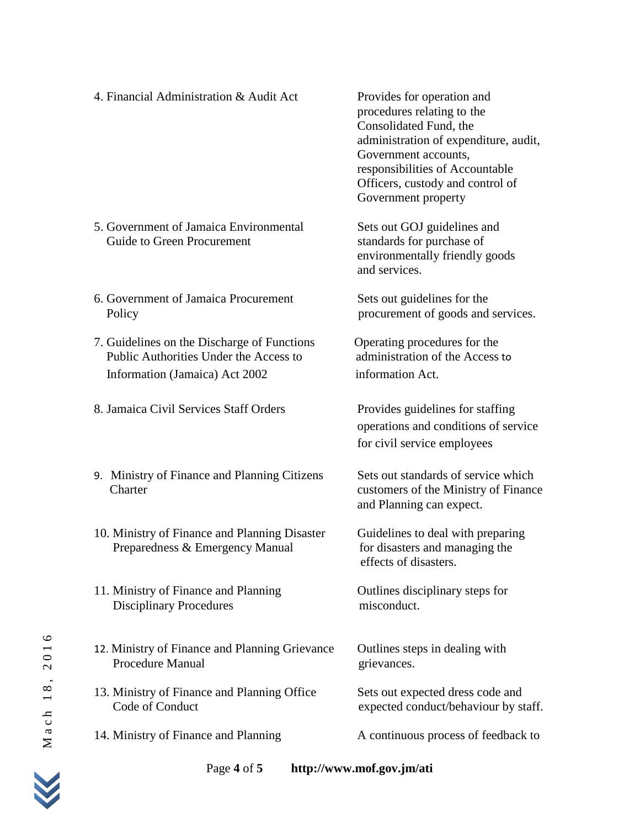- 4. Financial Administration & Audit Act Provides for operation and
- procedures relating to the Consolidated Fund, the administration of expenditure, audit, Government accounts, responsibilities of Accountable Officers, custody and control of Government property
	- Guide to Green Procurement standards for purchase of environmentally friendly goods and services.
		-

- operations and conditions of service for civil service employees
- and Planning can expect.

effects of disasters.

- 5. Government of Jamaica Environmental Sets out GOJ guidelines and
- 6. Government of Jamaica Procurement Sets out guidelines for the Policy procurement of goods and services.
- 7. Guidelines on the Discharge of Functions Operating procedures for the Public Authorities Under the Access to administration of the Access to Information (Jamaica) Act 2002 information Act.
- 8. Jamaica Civil Services Staff Orders Provides guidelines for staffing
- 9. Ministry of Finance and Planning Citizens Sets out standards of service which Charter customers of the Ministry of Finance
- 10. Ministry of Finance and Planning Disaster Guidelines to deal with preparing Preparedness & Emergency Manual for disasters and managing the
- 11. Ministry of Finance and Planning Outlines disciplinary steps for Disciplinary Procedures misconduct.
- 11. Ministry of Finance and Planning<br>
Disciplinary<br>
Disciplinary<br>
Procedures<br>
12. Ministry of Finance and Planning Grievance<br>
Procedure Manual<br>
13. Ministry of Finance and Planning Office<br>
Code of Conduct<br>
14. Ministry of 12. Ministry of Finance and Planning Grievance Outlines steps in dealing with Procedure Manual grievances.
	- 13. Ministry of Finance and Planning Office Sets out expected dress code and Code of Conduct expected conduct/behaviour by staff.
	- 14. Ministry of Finance and Planning A continuous process of feedback to



6